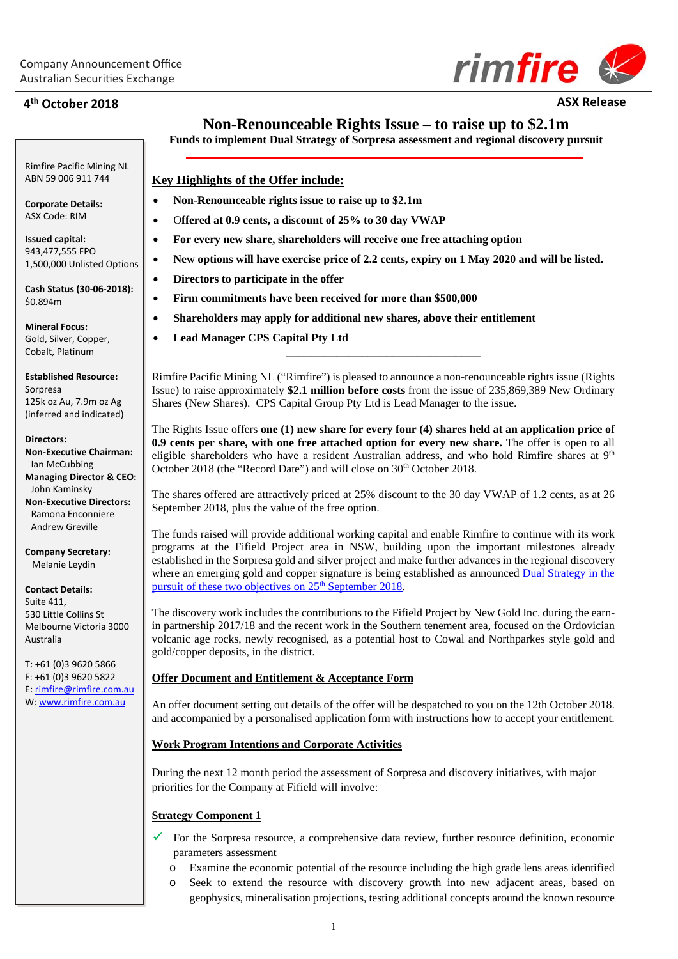

# **4th October 2018 ASX Release**

**Non-Renounceable Rights Issue – to raise up to \$2.1m**

**Funds to implement Dual Strategy of Sorpresa assessment and regional discovery pursuit**

# **Key Highlights of the Offer include:**

- **Non-Renounceable rights issue to raise up to \$2.1m**
- O**ffered at 0.9 cents, a discount of 25% to 30 day VWAP**
- **For every new share, shareholders will receive one free attaching option**
- **New options will have exercise price of 2.2 cents, expiry on 1 May 2020 and will be listed.**
- **Directors to participate in the offer**
- **Firm commitments have been received for more than \$500,000**
- **Shareholders may apply for additional new shares, above their entitlement**
- **Lead Manager CPS Capital Pty Ltd**

Rimfire Pacific Mining NL ("Rimfire") is pleased to announce a non-renounceable rights issue (Rights Issue) to raise approximately **\$2.1 million before costs** from the issue of 235,869,389 New Ordinary Shares (New Shares). CPS Capital Group Pty Ltd is Lead Manager to the issue.

\_\_\_\_\_\_\_\_\_\_\_\_\_\_\_\_\_\_\_\_\_\_\_\_\_\_\_\_\_\_\_

The Rights Issue offers **one (1) new share for every four (4) shares held at an application price of 0.9 cents per share, with one free attached option for every new share.** The offer is open to all eligible shareholders who have a resident Australian address, and who hold Rimfire shares at 9<sup>th</sup> October 2018 (the "Record Date") and will close on 30<sup>th</sup> October 2018.

The shares offered are attractively priced at 25% discount to the 30 day VWAP of 1.2 cents, as at 26 September 2018, plus the value of the free option.

The funds raised will provide additional working capital and enable Rimfire to continue with its work programs at the Fifield Project area in NSW, building upon the important milestones already established in the Sorpresa gold and silver project and make further advances in the regional discovery where an emerging gold and copper signature is being established as announced Dual Strategy in the pursuit of these two objectives on 25<sup>th</sup> September 2018.

The discovery work includes the contributions to the Fifield Project by New Gold Inc. during the earnin partnership 2017/18 and the recent work in the Southern tenement area, focused on the Ordovician volcanic age rocks, newly recognised, as a potential host to Cowal and Northparkes style gold and gold/copper deposits, in the district.

#### **Offer Document and Entitlement & Acceptance Form**

An offer document setting out details of the offer will be despatched to you on the 12th October 2018. and accompanied by a personalised application form with instructions how to accept your entitlement.

#### **Work Program Intentions and Corporate Activities**

During the next 12 month period the assessment of Sorpresa and discovery initiatives, with major priorities for the Company at Fifield will involve:

#### **Strategy Component 1**

- For the Sorpresa resource, a comprehensive data review, further resource definition, economic parameters assessment
	- o Examine the economic potential of the resource including the high grade lens areas identified
	- o Seek to extend the resource with discovery growth into new adjacent areas, based on geophysics, mineralisation projections, testing additional concepts around the known resource

Rimfire Pacific Mining NL ABN 59 006 911 744

**Corporate Details:** ASX Code: RIM

**Issued capital:** 943,477,555 FPO 1,500,000 Unlisted Options

**Cash Status (30-06-2018):** \$0.894m

**Mineral Focus:** Gold, Silver, Copper, Cobalt, Platinum

**Established Resource:** Sorpresa 125k oz Au, 7.9m oz Ag (inferred and indicated)

**Directors: Non-Executive Chairman:** Ian McCubbing **Managing Director & CEO:**

John Kaminsky **Non-Executive Directors:** Ramona Enconniere Andrew Greville

**Company Secretary:** Melanie Leydin

**Contact Details:** Suite 411, 530 Little Collins St Melbourne Victoria 3000 Australia

T: +61 (0)3 9620 5866 F: +61 (0)3 9620 5822 E: [rimfire@rimfire.com.au](mailto:rimfire@rimfire.com.au) W[: www.rimfire.com.au](http://www.rimfire.com.au/)